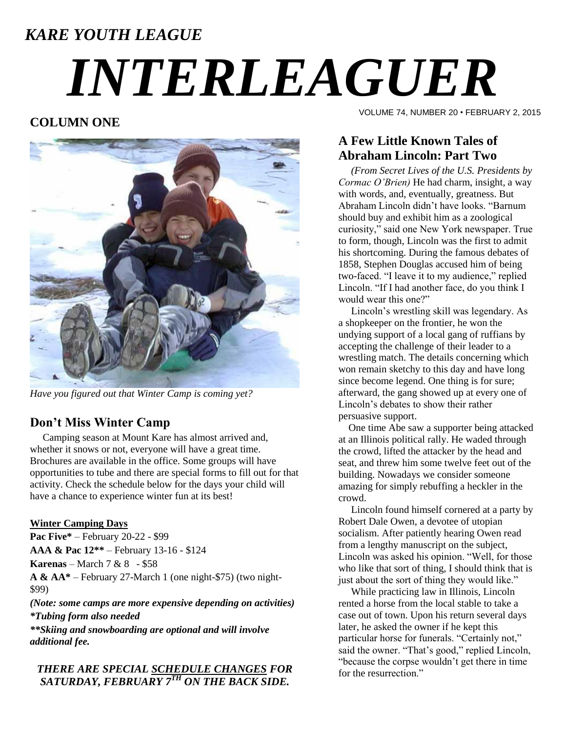# *KARE YOUTH LEAGUE INTERLEAGUER*

# **COLUMN ONE**



*Have you figured out that Winter Camp is coming yet?*

### **Don't Miss Winter Camp**

 Camping season at Mount Kare has almost arrived and, whether it snows or not, everyone will have a great time. Brochures are available in the office. Some groups will have opportunities to tube and there are special forms to fill out for that activity. Check the schedule below for the days your child will have a chance to experience winter fun at its best!

#### **Winter Camping Days**

**Pac Five\*** – February 20-22 - \$99

**AAA & Pac 12\*\*** – February 13-16 - \$124

**Karenas** – March 7 & 8 - \$58

**A & AA\*** – February 27-March 1 (one night-\$75) (two night- \$99)

*(Note: some camps are more expensive depending on activities) \*Tubing form also needed*

*\*\*Skiing and snowboarding are optional and will involve additional fee.*

*THERE ARE SPECIAL SCHEDULE CHANGES FOR SATURDAY, FEBRUARY 7TH ON THE BACK SIDE.*

VOLUME 74, NUMBER 20 • FEBRUARY 2, 2015

# **A Few Little Known Tales of Abraham Lincoln: Part Two**

 *(From Secret Lives of the U.S. Presidents by Cormac O'Brien)* He had charm, insight, a way with words, and, eventually, greatness. But Abraham Lincoln didn't have looks. "Barnum should buy and exhibit him as a zoological curiosity," said one New York newspaper. True to form, though, Lincoln was the first to admit his shortcoming. During the famous debates of 1858, Stephen Douglas accused him of being two-faced. "I leave it to my audience," replied Lincoln. "If I had another face, do you think I would wear this one?"

 Lincoln's wrestling skill was legendary. As a shopkeeper on the frontier, he won the undying support of a local gang of ruffians by accepting the challenge of their leader to a wrestling match. The details concerning which won remain sketchy to this day and have long since become legend. One thing is for sure; afterward, the gang showed up at every one of Lincoln's debates to show their rather persuasive support.

 One time Abe saw a supporter being attacked at an Illinois political rally. He waded through the crowd, lifted the attacker by the head and seat, and threw him some twelve feet out of the building. Nowadays we consider someone amazing for simply rebuffing a heckler in the crowd.

 Lincoln found himself cornered at a party by Robert Dale Owen, a devotee of utopian socialism. After patiently hearing Owen read from a lengthy manuscript on the subject, Lincoln was asked his opinion. "Well, for those who like that sort of thing, I should think that is just about the sort of thing they would like."

 While practicing law in Illinois, Lincoln rented a horse from the local stable to take a case out of town. Upon his return several days later, he asked the owner if he kept this particular horse for funerals. "Certainly not," said the owner. "That's good," replied Lincoln, "because the corpse wouldn't get there in time for the resurrection."